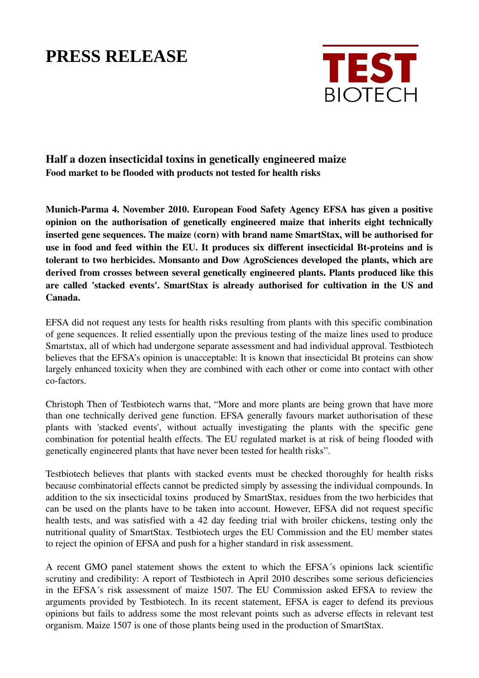## **PRESS RELEASE**



Half a dozen insecticidal toxins in genetically engineered maize Food market to be flooded with products not tested for health risks

Munich-Parma 4. November 2010. European Food Safety Agency EFSA has given a positive opinion on the authorisation of genetically engineered maize that inherits eight technically inserted gene sequences. The maize (corn) with brand name SmartStax, will be authorised for use in food and feed within the EU. It produces six different insecticidal Bt-proteins and is tolerant to two herbicides. Monsanto and Dow AgroSciences developed the plants, which are derived from crosses between several genetically engineered plants. Plants produced like this are called 'stacked events'. SmartStax is already authorised for cultivation in the US and Canada.

EFSA did not request any tests for health risks resulting from plants with this specific combination of gene sequences. It relied essentially upon the previous testing of the maize lines used to produce Smartstax, all of which had undergone separate assessment and had individual approval. Testbiotech believes that the EFSA's opinion is unacceptable: It is known that insecticidal Bt proteins can show largely enhanced toxicity when they are combined with each other or come into contact with other co-factors.

Christoph Then of Testbiotech warns that, "More and more plants are being grown that have more than one technically derived gene function. EFSA generally favours market authorisation of these plants with 'stacked events', without actually investigating the plants with the specific gene combination for potential health effects. The EU regulated market is at risk of being flooded with genetically engineered plants that have never been tested for health risks".

Testbiotech believes that plants with stacked events must be checked thoroughly for health risks because combinatorial effects cannot be predicted simply by assessing the individual compounds. In addition to the six insecticidal toxins produced by SmartStax, residues from the two herbicides that can be used on the plants have to be taken into account. However, EFSA did not request specific health tests, and was satisfied with a 42 day feeding trial with broiler chickens, testing only the nutritional quality of SmartStax. Testbiotech urges the EU Commission and the EU member states to reject the opinion of EFSA and push for a higher standard in risk assessment.

A recent GMO panel statement shows the extent to which the EFSA´s opinions lack scientific scrutiny and credibility: A report of Testbiotech in April 2010 describes some serious deficiencies in the EFSA´s risk assessment of maize 1507. The EU Commission asked EFSA to review the arguments provided by Testbiotech. In its recent statement, EFSA is eager to defend its previous opinions but fails to address some the most relevant points such as adverse effects in relevant test organism. Maize 1507 is one of those plants being used in the production of SmartStax.